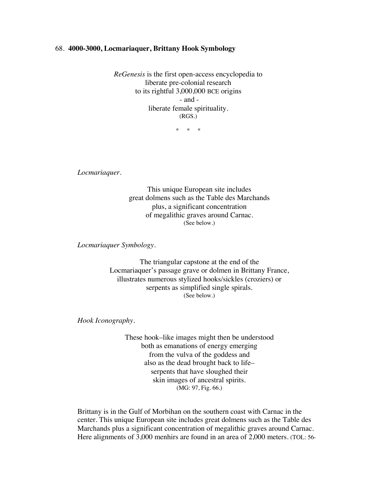## 68. **4000-3000, Locmariaquer, Brittany Hook Symbology**

*ReGenesis* is the first open-access encyclopedia to liberate pre-colonial research to its rightful 3,000,000 BCE origins - and liberate female spirituality. (RGS.)

\* \* \*

*Locmariaquer.*

This unique European site includes great dolmens such as the Table des Marchands plus, a significant concentration of megalithic graves around Carnac. (See below.)

*Locmariaquer Symbology.*

The triangular capstone at the end of the Locmariaquer's passage grave or dolmen in Brittany France, illustrates numerous stylized hooks/sickles (croziers) or serpents as simplified single spirals. (See below.)

*Hook Iconography.*

These hook–like images might then be understood both as emanations of energy emerging from the vulva of the goddess and also as the dead brought back to life– serpents that have sloughed their skin images of ancestral spirits. (MG: 97, Fig. 66.)

Brittany is in the Gulf of Morbihan on the southern coast with Carnac in the center. This unique European site includes great dolmens such as the Table des Marchands plus a significant concentration of megalithic graves around Carnac. Here alignments of 3,000 menhirs are found in an area of 2,000 meters. (TOL: 56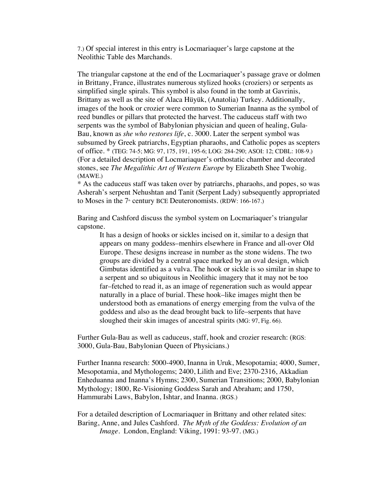7.) Of special interest in this entry is Locmariaquer's large capstone at the Neolithic Table des Marchands.

The triangular capstone at the end of the Locmariaquer's passage grave or dolmen in Brittany, France, illustrates numerous stylized hooks (croziers) or serpents as simplified single spirals. This symbol is also found in the tomb at Gavrinis, Brittany as well as the site of Alaca Hüyük, (Anatolia) Turkey. Additionally, images of the hook or crozier were common to Sumerian Inanna as the symbol of reed bundles or pillars that protected the harvest. The caduceus staff with two serpents was the symbol of Babylonian physician and queen of healing, Gula-Bau, known as *she who restores life*, c. 3000. Later the serpent symbol was subsumed by Greek patriarchs, Egyptian pharaohs, and Catholic popes as scepters of office. \* (TEG: 74-5; MG: 97, 175, 191, 195-6; LOG: 284-290; ASOI: 12; CDBL: 108-9.) (For a detailed description of Locmariaquer's orthostatic chamber and decorated stones, see *The Megalithic Art of Western Europe* by Elizabeth Shee Twohig. (MAWE.)

\* As the caduceus staff was taken over by patriarchs, pharaohs, and popes, so was Asherah's serpent Nehushtan and Tanit (Serpent Lady) subsequently appropriated to Moses in the  $7*$  century BCE Deuteronomists. (RDW: 166-167.)

Baring and Cashford discuss the symbol system on Locmariaquer's triangular capstone.

It has a design of hooks or sickles incised on it, similar to a design that appears on many goddess–menhirs elsewhere in France and all-over Old Europe. These designs increase in number as the stone widens. The two groups are divided by a central space marked by an oval design, which Gimbutas identified as a vulva. The hook or sickle is so similar in shape to a serpent and so ubiquitous in Neolithic imagery that it may not be too far–fetched to read it, as an image of regeneration such as would appear naturally in a place of burial. These hook–like images might then be understood both as emanations of energy emerging from the vulva of the goddess and also as the dead brought back to life–serpents that have sloughed their skin images of ancestral spirits (MG: 97, Fig. 66).

Further Gula-Bau as well as caduceus, staff, hook and crozier research: (RGS: 3000, Gula-Bau, Babylonian Queen of Physicians.)

Further Inanna research: 5000-4900, Inanna in Uruk, Mesopotamia; 4000, Sumer, Mesopotamia, and Mythologems; 2400, Lilith and Eve; 2370-2316, Akkadian Enheduanna and Inanna's Hymns; 2300, Sumerian Transitions; 2000, Babylonian Mythology; 1800, Re-Visioning Goddess Sarah and Abraham; and 1750, Hammurabi Laws, Babylon, Ishtar, and Inanna. (RGS.)

For a detailed description of Locmariaquer in Brittany and other related sites: Baring, Anne, and Jules Cashford. *The Myth of the Goddess: Evolution of an Image*. London, England: Viking, 1991: 93-97. (MG.)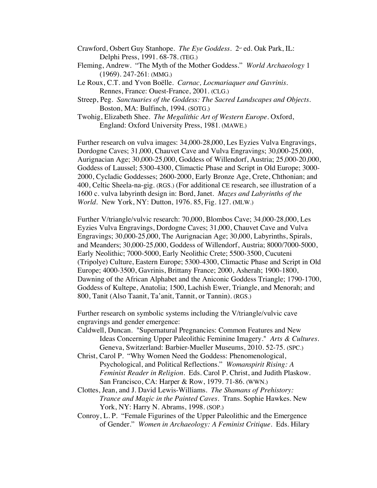- Crawford, Osbert Guy Stanhope. *The Eye Goddess*. 2<sup>nd</sup> ed. Oak Park, IL: Delphi Press, 1991. 68-78. (TEG.)
- Fleming, Andrew. "The Myth of the Mother Goddess." *World Archaeology* 1 (1969). 247-261: (MMG.)
- Le Roux, C.T. and Yvon Boëlle. *Carnac, Locmariaquer and Gavrinis*. Rennes, France: Ouest-France, 2001. (CLG.)
- Streep, Peg. *Sanctuaries of the Goddess: The Sacred Landscapes and Objects.* Boston, MA: Bulfinch, 1994. (SOTG.)
- Twohig, Elizabeth Shee. *The Megalithic Art of Western Europe*. Oxford, England: Oxford University Press, 1981. (MAWE.)

Further research on vulva images: 34,000-28,000, Les Eyzies Vulva Engravings, Dordogne Caves; 31,000, Chauvet Cave and Vulva Engravings; 30,000-25,000, Aurignacian Age; 30,000-25,000, Goddess of Willendorf, Austria; 25,000-20,000, Goddess of Laussel; 5300-4300, Climactic Phase and Script in Old Europe; 3000- 2000, Cycladic Goddesses; 2600-2000, Early Bronze Age, Crete, Chthonian; and 400, Celtic Sheela-na-gig. (RGS.) (For additional CE research, see illustration of a 1600 c. vulva labyrinth design in: Bord, Janet. *Mazes and Labyrinths of the World*. New York, NY: Dutton, 1976. 85, Fig. 127. **(**MLW.)

Further V/triangle/vulvic research: 70,000, Blombos Cave; 34,000-28,000, Les Eyzies Vulva Engravings, Dordogne Caves; 31,000, Chauvet Cave and Vulva Engravings; 30,000-25,000, The Aurignacian Age; 30,000, Labyrinths, Spirals, and Meanders; 30,000-25,000, Goddess of Willendorf, Austria; 8000/7000-5000, Early Neolithic; 7000-5000, Early Neolithic Crete; 5500-3500, Cucuteni (Tripolye) Culture, Eastern Europe; 5300-4300, Climactic Phase and Script in Old Europe; 4000-3500, Gavrinis, Brittany France; 2000, Asherah; 1900-1800, Dawning of the African Alphabet and the Aniconic Goddess Triangle; 1790-1700, Goddess of Kultepe, Anatolia; 1500, Lachish Ewer, Triangle, and Menorah; and 800, Tanit (Also Taanit, Ta'anit, Tannit, or Tannin). (RGS.)

Further research on symbolic systems including the V/triangle/vulvic cave engravings and gender emergence:

- Caldwell, Duncan. "Supernatural Pregnancies: Common Features and New Ideas Concerning Upper Paleolithic Feminine Imagery." *Arts & Cultures.*  Geneva, Switzerland: Barbier-Mueller Museums, 2010. 52-75. (SPC.)
- Christ, Carol P. "Why Women Need the Goddess: Phenomenological, Psychological, and Political Reflections." *Womanspirit Rising: A Feminist Reader in Religion*. Eds. Carol P. Christ, and Judith Plaskow. San Francisco, CA: Harper & Row, 1979. 71-86. (WWN.)
- Clottes, Jean, and J. David Lewis-Williams. *The Shamans of Prehistory: Trance and Magic in the Painted Caves.* Trans. Sophie Hawkes. New York, NY: Harry N. Abrams, 1998. (SOP.)
- Conroy, L. P. "Female Figurines of the Upper Paleolithic and the Emergence of Gender." *Women in Archaeology: A Feminist Critique*. Eds. Hilary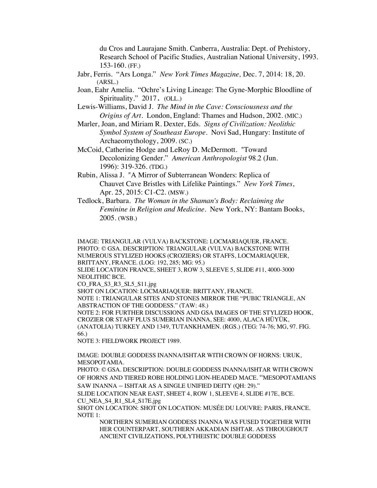du Cros and Laurajane Smith. Canberra, Australia: Dept. of Prehistory, Research School of Pacific Studies, Australian National University, 1993. 153-160. (FF.)

- Jabr, Ferris. "Ars Longa." *New York Times Magazine,* Dec. 7, 2014: 18, 20. (ARSL.)
- Joan, Eahr Amelia. "Ochre's Living Lineage: The Gyne-Morphic Bloodline of Spirituality." 2017. (OLL.)
- Lewis-Williams, David J. *The Mind in the Cave: Consciousness and the Origins of Art.* London, England: Thames and Hudson, 2002. (MIC.)
- Marler, Joan, and Miriam R. Dexter, Eds. *Signs of Civilization: Neolithic Symbol System of Southeast Europe*. Novi Sad, Hungary: Institute of Archaeomythology, 2009. (SC.)
- McCoid, Catherine Hodge and LeRoy D. McDermott. "Toward Decolonizing Gender." *American Anthropologist* 98.2 (Jun. 1996): 319-326. (TDG.)
- Rubin, Alissa J. "A Mirror of Subterranean Wonders: Replica of Chauvet Cave Bristles with Lifelike Paintings." *New York Times*, Apr. 25, 2015: C1-C2. (MSW.)
- Tedlock, Barbara. *The Woman in the Shaman's Body: Reclaiming the Feminine in Religion and Medicine*. New York, NY: Bantam Books, 2005. (WSB.)

IMAGE: TRIANGULAR (VULVA) BACKSTONE: LOCMARIAQUER, FRANCE. PHOTO: © GSA. DESCRIPTION: TRIANGULAR (VULVA) BACKSTONE WITH NUMEROUS STYLIZED HOOKS (CROZIERS) OR STAFFS, LOCMARIAQUER, BRITTANY, FRANCE. (LOG: 192, 285; MG: 95.)

SLIDE LOCATION FRANCE, SHEET 3, ROW 3, SLEEVE 5, SLIDE #11, 4000-3000 NEOLITHIC BCE.

CO\_FRA\_S3\_R3\_SL5\_S11.jpg

SHOT ON LOCATION: LOCMARIAQUER: BRITTANY, FRANCE.

NOTE 1: TRIANGULAR SITES AND STONES MIRROR THE "PUBIC TRIANGLE, AN ABSTRACTION OF THE GODDESS." (TAW: 48.)

NOTE 2: FOR FURTHER DISCUSSIONS AND GSA IMAGES OF THE STYLIZED HOOK, CROZIER OR STAFF PLUS SUMERIAN INANNA, SEE: 4000, ALACA HÜYÜK, (ANATOLIA) TURKEY AND 1349, TUTANKHAMEN. (RGS.) (TEG: 74-76; MG, 97. FIG. 66.)

NOTE 3: FIELDWORK PROJECT 1989.

IMAGE: DOUBLE GODDESS INANNA/ISHTAR WITH CROWN OF HORNS: URUK, MESOPOTAMIA.

PHOTO: © GSA. DESCRIPTION: DOUBLE GODDESS INANNA/ISHTAR WITH CROWN OF HORNS AND TIERED ROBE HOLDING LION-HEADED MACE. "MESOPOTAMIANS SAW INANNA – ISHTAR AS A SINGLE UNIFIED DEITY (QH: 29)."

SLIDE LOCATION NEAR EAST, SHEET 4, ROW 1, SLEEVE 4, SLIDE #17E, BCE. CU\_NEA\_S4\_R1\_SL4\_S17E.jpg

SHOT ON LOCATION: SHOT ON LOCATION: MUSÉE DU LOUVRE: PARIS, FRANCE. NOTE 1:

NORTHERN SUMERIAN GODDESS INANNA WAS FUSED TOGETHER WITH HER COUNTERPART, SOUTHERN AKKADIAN ISHTAR. AS THROUGHOUT ANCIENT CIVILIZATIONS, POLYTHEISTIC DOUBLE GODDESS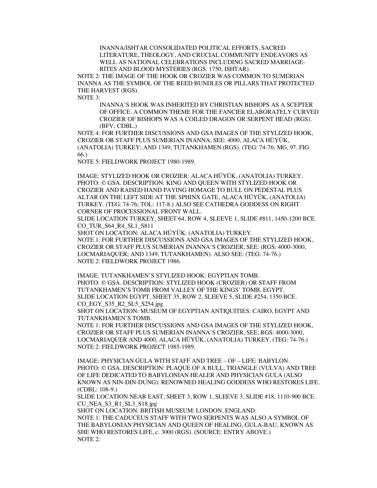INANNA/ISHTAR CONSOLIDATED POLITICAL EFFORTS, SACRED LITERATURE, THEOLOGY, AND CRUCIAL COMMUNITY ENDEAVORS AS WELL AS NATIONAL CELEBRATIONS INCLUDING SACRED MARRIAGE-RITES AND BLOOD MYSTERIES (RGS: 1750, ISHTAR).

NOTE 2: THE IMAGE OF THE HOOK OR CROZIER WAS COMMON TO SUMERIAN INANNA AS THE SYMBOL OF THE REED BUNDLES OR PILLARS THAT PROTECTED THE HARVEST (RGS).

NOTE 3:

INANNA'S HOOK WAS INHERITED BY CHRISTIAN BISHOPS AS A SCEPTER OF OFFICE. A COMMON THEME FOR THE FANCIER ELABORATELY CURVED CROZIER OF BISHOPS WAS A COILED DRAGON OR SERPENT HEAD (RGS). (BFV; CDBL.)

NOTE 4: FOR FURTHER DISCUSSIONS AND GSA IMAGES OF THE STYLIZED HOOK, CROZIER OR STAFF PLUS SUMERIAN INANNA, SEE: 4000, ALACA HÜYÜK, (ANATOLIA) TURKEY; AND 1349, TUTANKHAMEN (RGS). (TEG: 74-76; MG, 97. FIG. 66.)

NOTE 5: FIELDWORK PROJECT 1980-1989.

IMAGE: STYLIZED HOOK OR CROZIER: ALACA HÜYÜK, (ANATOLIA) TURKEY. PHOTO: © GSA. DESCRIPTION: KING AND QUEEN WITH STYLIZED HOOK OR CROZIER AND RAISED HAND PAYING HOMAGE TO BULL ON PEDESTAL PLUS ALTAR ON THE LEFT SIDE AT THE SPHINX GATE, ALACA HÜYÜK, (ANATOLIA) TURKEY. (TEG: 74-76; TOL: 117-8.) ALSO SEE CATHEDRA GODDESS ON RIGHT CORNER OF PROCESSIONAL FRONT WALL.

SLIDE LOCATION TURKEY, SHEET 64, ROW 4, SLEEVE 1, SLIDE #811, 1450-1200 BCE. CO\_TUR\_S64\_R4\_SL1\_S811

SHOT ON LOCATION: ALACA HÜYÜK: (ANATOLIA) TURKEY. NOTE 1: FOR FURTHER DISCUSSIONS AND GSA IMAGES OF THE STYLIZED HOOK, CROZIER OR STAFF PLUS SUMERIAN INANNA'S CROZIER, SEE: (RGS: 4000-3000, LOCMARIAQUER; AND 1349, TUTANKHAMEN). ALSO SEE: (TEG: 74-76.) NOTE 2: FIELDWORK PROJECT 1986.

IMAGE: TUTANKHAMEN'S STYLIZED HOOK: EGYPTIAN TOMB. PHOTO: © GSA. DESCRIPTION: STYLIZED HOOK (CROZIER) OR STAFF FROM TUTANKHAMEN'S TOMB FROM VALLEY OF THE KINGS' TOMB, EGYPT. SLIDE LOCATION EGYPT, SHEET 35, ROW 2, SLEEVE 5, SLIDE #254, 1350 BCE. CO\_EGY\_S35\_R2\_SL5\_S254.jpg

SHOT ON LOCATION: MUSEUM OF EGYPTIAN ANTIQUITIES: CAIRO, EGYPT AND TUTANKHAMEN'S TOMB.

NOTE 1: FOR FURTHER DISCUSSIONS AND GSA IMAGES OF THE STYLIZED HOOK, CROZIER OR STAFF PLUS SUMERIAN INANNA'S CROZIER, SEE, RGS: 4000-3000, LOCMARIAQUER AND 4000, ALACA HÜYÜK, (ANATOLIA) TURKEY. (TEG: 74-76.) NOTE 2: FIELDWORK PROJECT 1985-1989.

IMAGE: PHYSICIAN GULA WITH STAFF AND TREE – OF – LIFE: BABYLON. PHOTO: © GSA. DESCRIPTION: PLAQUE OF A BULL, TRIANGLE (VULVA) AND TREE OF LIFE DEDICATED TO BABYLONIAN HEALER AND PHYSICIAN GULA (ALSO KNOWN AS NIN-DIN-DUNG): RENOWNED HEALING GODDESS WHO RESTORES LIFE. (CDBL: 108-9.)

SLIDE LOCATION NEAR EAST, SHEET 3, ROW 1, SLEEVE 3, SLIDE #18, 1110-900 BCE. CU\_NEA\_S3\_R1\_SL3\_S18.jpg

SHOT ON LOCATION: BRITISH MUSEUM: LONDON, ENGLAND. NOTE 1: THE CADUCEUS STAFF WITH TWO SERPENTS WAS ALSO A SYMBOL OF THE BABYLONIAN PHYSICIAN AND QUEEN OF HEALING, GULA-BAU, KNOWN AS SHE WHO RESTORES LIFE, c. 3000 (RGS). (SOURCE: ENTRY ABOVE.) NOTE 2: